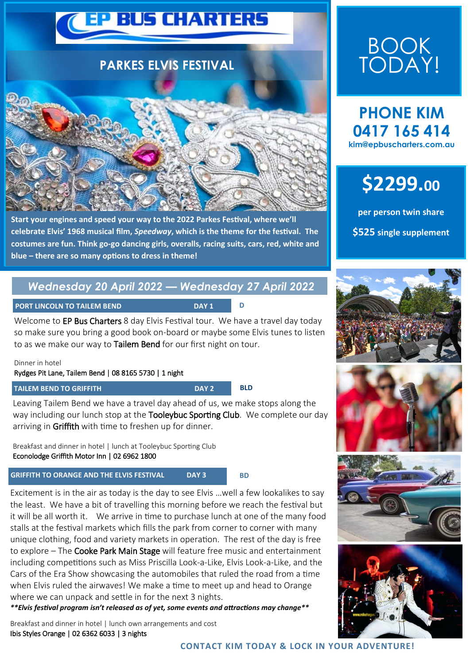

**Start your engines and speed your way to the 2022 Parkes Festival, where we'll celebrate Elvis' 1968 musical film,** *Speedway***, which is the theme for the festival. The costumes are fun. Think go-go dancing girls, overalls, racing suits, cars, red, white and blue – there are so many options to dress in theme!**

### *Wednesday 20 April 2022 — Wednesday 27 April 2022*

**PORT LINCOLN TO TAILEM BEND** 

Welcome to EP Bus Charters 8 day Elvis Festival tour. We have a travel day today so make sure you bring a good book on-board or maybe some Elvis tunes to listen to as we make our way to Tailem Bend for our first night on tour.

Dinner in hotel

#### Rydges Pit Lane, Tailem Bend | 08 8165 5730 | 1 night

#### **TAILEM BEND TO GRIFFITH DAY 2 BLD**

Leaving Tailem Bend we have a travel day ahead of us, we make stops along the way including our lunch stop at the Tooleybuc Sporting Club. We complete our day arriving in Griffith with time to freshen up for dinner.

Breakfast and dinner in hotel | lunch at Tooleybuc Sporting Club Econolodge Griffith Motor Inn | 02 6962 1800

### **GRIFFITH TO ORANGE AND THE ELVIS FESTIVAL DAY 3**

 **BD** 

Excitement is in the air as today is the day to see Elvis …well a few lookalikes to say the least. We have a bit of travelling this morning before we reach the festival but it will be all worth it. We arrive in time to purchase lunch at one of the many food stalls at the festival markets which fills the park from corner to corner with many unique clothing, food and variety markets in operation. The rest of the day is free to explore – The Cooke Park Main Stage will feature free music and entertainment including competitions such as Miss Priscilla Look-a-Like, Elvis Look-a-Like, and the Cars of the Era Show showcasing the automobiles that ruled the road from a time when Elvis ruled the airwaves! We make a time to meet up and head to Orange where we can unpack and settle in for the next 3 nights.

*\*\*Elvis festival program isn't released as of yet, some events and attractions may change\*\**

Breakfast and dinner in hotel | lunch own arrangements and cost Ibis Styles Orange | 02 6362 6033 | 3 nights

## BOOK TODAY!

**PHONE KIM 0417 165 414 kim@epbuscharters.com.au** 



**per person twin share \$525 single supplement** 







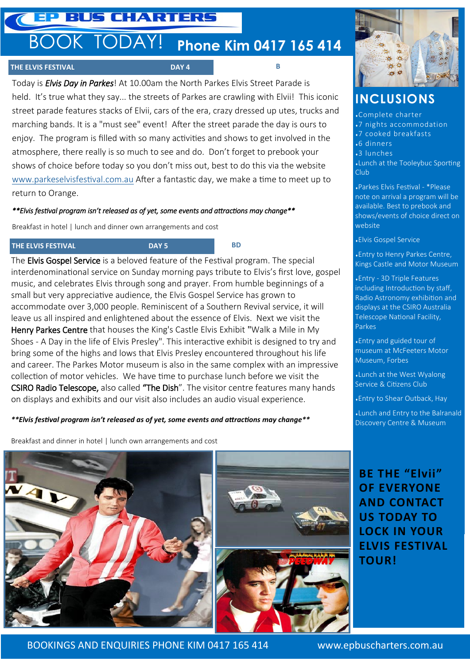### EP BUS CHARTERS

## BOOK TODAY! **Phone Kim 0417 165 414**

#### **THE ELVIS FESTIVAL DAY 4**

Today is *Elvis Day in Parkes*! At 10.00am the North Parkes Elvis Street Parade is held. It's true what they say... the streets of Parkes are crawling with Elvii! This iconic street parade features stacks of Elvii, cars of the era, crazy dressed up utes, trucks and marching bands. It is a "must see" event! After the street parade the day is ours to enjoy. The program is filled with so many activities and shows to get involved in the atmosphere, there really is so much to see and do. Don't forget to prebook your shows of choice before today so you don't miss out, best to do this via the website [www.parkeselvisfestival.com.au](http://www.parkeselvisfestival.com.au) After a fantastic day, we make a time to meet up to return to Orange.

#### *\*\*Elvis festival program isn't released as of yet, some events and attractions may change\*\**

Breakfast in hotel | lunch and dinner own arrangements and cost

#### **THE ELVIS FESTIVAL DAY 5 BD**

**B** 

The Elvis Gospel Service is a beloved feature of the Festival program. The special interdenominational service on Sunday morning pays tribute to Elvis's first love, gospel music, and celebrates Elvis through song and prayer. From humble beginnings of a small but very appreciative audience, the Elvis Gospel Service has grown to accommodate over 3,000 people. Reminiscent of a Southern Revival service, it will leave us all inspired and enlightened about the essence of Elvis. Next we visit the Henry Parkes Centre that houses the King's Castle Elvis Exhibit "Walk a Mile in My Shoes - A Day in the life of Elvis Presley". This interactive exhibit is designed to try and bring some of the highs and lows that Elvis Presley encountered throughout his life and career. The Parkes Motor museum is also in the same complex with an impressive collection of motor vehicles. We have time to purchase lunch before we visit the CSIRO Radio Telescope, also called "The Dish". The visitor centre features many hands on displays and exhibits and our visit also includes an audio visual experience.

#### *\*\*Elvis festival program isn't released as of yet, some events and attractions may change\*\**

Breakfast and dinner in hotel | lunch own arrangements and cost





### **INCLUSIONS**

Complete charter

- 7 nights accommodation
- 7 cooked breakfasts
- 6 dinners
- 3 lunches

Lunch at the Tooleybuc Sporting Club<sub></sub>

Parkes Elvis Festival - \*Please note on arrival a program will be available. Best to prebook and shows/events of choice direct on website

Elvis Gospel Service

Entry to Henry Parkes Centre, Kings Castle and Motor Museum

Entry - 3D Triple Features including Introduction by staff, Radio Astronomy exhibition and displays at the CSIRO Australia Telescope National Facility, **Parkes** 

Entry and guided tour of museum at McFeeters Motor Museum, Forbes

Lunch at the West Wyalong Service & Citizens Club

Entry to Shear Outback, Hay

Lunch and Entry to the Balranald Discovery Centre & Museum

### **BE THE "Elvii" OF EVERYONE AND CONTACT US TODAY TO LOCK IN YOUR ELVIS FESTIVAL TOUR!**

BOOKINGS AND ENQUIRIES PHONE KIM 0417 165 414 www.epbuscharters.com.au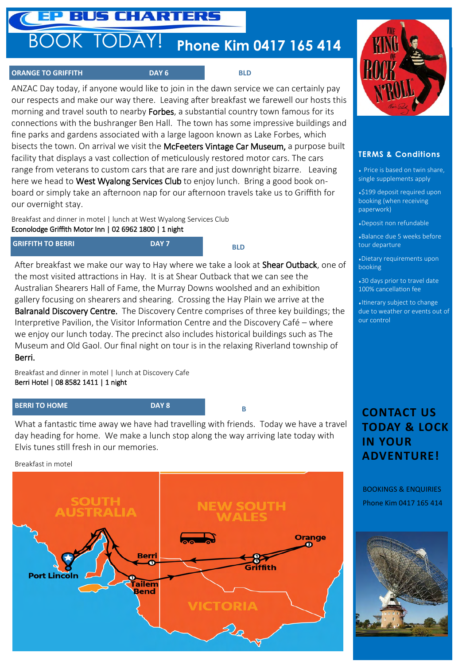### **P BUS CHARTERS**

# BOOK TODAY! **Phone Kim 0417 165 414**

#### **ORANGE TO GRIFFITH DAY 6** BLD

ANZAC Day today, if anyone would like to join in the dawn service we can certainly pay our respects and make our way there. Leaving after breakfast we farewell our hosts this morning and travel south to nearby **Forbes**, a substantial country town famous for its connections with the bushranger Ben Hall. The town has some impressive buildings and fine parks and gardens associated with a large lagoon known as Lake Forbes, which bisects the town. On arrival we visit the McFeeters Vintage Car Museum, a purpose built facility that displays a vast collection of meticulously restored motor cars. The cars range from veterans to custom cars that are rare and just downright bizarre. Leaving here we head to West Wyalong Services Club to enjoy lunch. Bring a good book onboard or simply take an afternoon nap for our afternoon travels take us to Griffith for our overnight stay.

Breakfast and dinner in motel | lunch at West Wyalong Services Club Econolodge Griffith Motor Inn | 02 6962 1800 | 1 night

| <b>GRIFFITH TO BERRI</b> | DAY 7 |
|--------------------------|-------|
|                          |       |

 **BLD**

After breakfast we make our way to Hay where we take a look at **Shear Outback**, one of the most visited attractions in Hay. It is at Shear Outback that we can see the Australian Shearers Hall of Fame, the Murray Downs woolshed and an exhibition gallery focusing on shearers and shearing. Crossing the Hay Plain we arrive at the Balranald Discovery Centre. The Discovery Centre comprises of three key buildings; the Interpretive Pavilion, the Visitor Information Centre and the Discovery Café – where we enjoy our lunch today. The precinct also includes historical buildings such as The Museum and Old Gaol. Our final night on tour is in the relaxing Riverland township of Berri.

Breakfast and dinner in motel | lunch at Discovery Cafe Berri Hotel | 08 8582 1411 | 1 night

#### **BERRI TO HOME DAY 8**

 **B**

What a fantastic time away we have had travelling with friends. Today we have a travel day heading for home. We make a lunch stop along the way arriving late today with Elvis tunes still fresh in our memories.

Breakfast in motel





#### **TERMS & Conditions**

 Price is based on twin share, single supplements apply

\$199 deposit required upon booking (when receiving paperwork)

Deposit non refundable

Balance due 5 weeks before tour departure

Dietary requirements upon booking

30 days prior to travel date 100% cancellation fee

Itinerary subject to change due to weather or events out of our control

### **CONTACT US TODAY & LOCK IN YOUR ADVENTURE!**

BOOKINGS & ENQUIRIES Phone Kim 0417 165 414